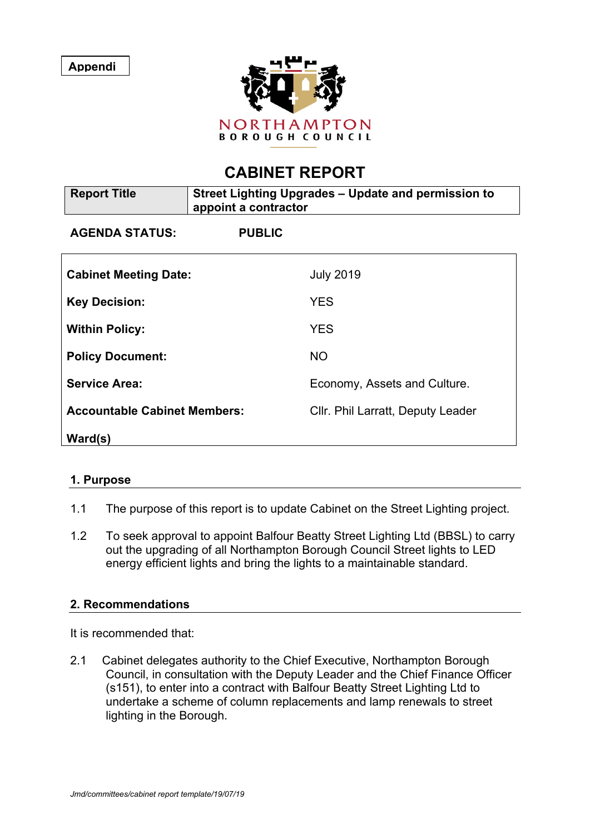**Appendi**

**ces 0**



# **CABINET REPORT**

| <b>Report Title</b>                 | Street Lighting Upgrades - Update and permission to<br>appoint a contractor |                                   |
|-------------------------------------|-----------------------------------------------------------------------------|-----------------------------------|
| <b>AGENDA STATUS:</b>               | <b>PUBLIC</b>                                                               |                                   |
| <b>Cabinet Meeting Date:</b>        |                                                                             | <b>July 2019</b>                  |
| <b>Key Decision:</b>                |                                                                             | <b>YES</b>                        |
| <b>Within Policy:</b>               |                                                                             | <b>YES</b>                        |
| <b>Policy Document:</b>             |                                                                             | <b>NO</b>                         |
| <b>Service Area:</b>                |                                                                             | Economy, Assets and Culture.      |
| <b>Accountable Cabinet Members:</b> |                                                                             | Cllr. Phil Larratt, Deputy Leader |
| Ward(s)                             |                                                                             |                                   |

# **1. Purpose**

- 1.1 The purpose of this report is to update Cabinet on the Street Lighting project.
- 1.2 To seek approval to appoint Balfour Beatty Street Lighting Ltd (BBSL) to carry out the upgrading of all Northampton Borough Council Street lights to LED energy efficient lights and bring the lights to a maintainable standard.

#### **2. Recommendations**

It is recommended that:

2.1 Cabinet delegates authority to the Chief Executive, Northampton Borough Council, in consultation with the Deputy Leader and the Chief Finance Officer (s151), to enter into a contract with Balfour Beatty Street Lighting Ltd to undertake a scheme of column replacements and lamp renewals to street lighting in the Borough.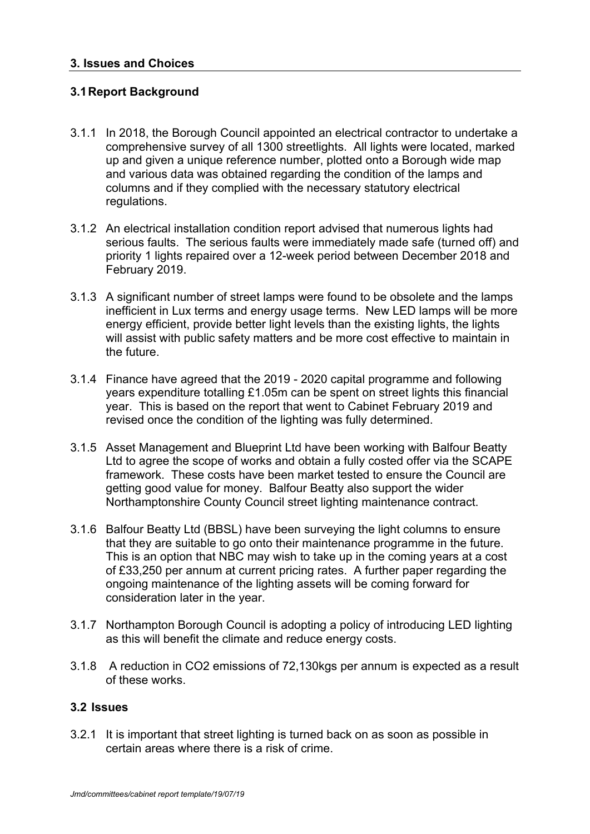### **3.1Report Background**

- 3.1.1 In 2018, the Borough Council appointed an electrical contractor to undertake a comprehensive survey of all 1300 streetlights. All lights were located, marked up and given a unique reference number, plotted onto a Borough wide map and various data was obtained regarding the condition of the lamps and columns and if they complied with the necessary statutory electrical regulations.
- 3.1.2 An electrical installation condition report advised that numerous lights had serious faults. The serious faults were immediately made safe (turned off) and priority 1 lights repaired over a 12-week period between December 2018 and February 2019.
- 3.1.3 A significant number of street lamps were found to be obsolete and the lamps inefficient in Lux terms and energy usage terms. New LED lamps will be more energy efficient, provide better light levels than the existing lights, the lights will assist with public safety matters and be more cost effective to maintain in the future.
- 3.1.4 Finance have agreed that the 2019 2020 capital programme and following years expenditure totalling £1.05m can be spent on street lights this financial year. This is based on the report that went to Cabinet February 2019 and revised once the condition of the lighting was fully determined.
- 3.1.5 Asset Management and Blueprint Ltd have been working with Balfour Beatty Ltd to agree the scope of works and obtain a fully costed offer via the SCAPE framework. These costs have been market tested to ensure the Council are getting good value for money. Balfour Beatty also support the wider Northamptonshire County Council street lighting maintenance contract.
- 3.1.6 Balfour Beatty Ltd (BBSL) have been surveying the light columns to ensure that they are suitable to go onto their maintenance programme in the future. This is an option that NBC may wish to take up in the coming years at a cost of £33,250 per annum at current pricing rates. A further paper regarding the ongoing maintenance of the lighting assets will be coming forward for consideration later in the year.
- 3.1.7 Northampton Borough Council is adopting a policy of introducing LED lighting as this will benefit the climate and reduce energy costs.
- 3.1.8 A reduction in CO2 emissions of 72,130kgs per annum is expected as a result of these works.

#### **3.2 Issues**

3.2.1 It is important that street lighting is turned back on as soon as possible in certain areas where there is a risk of crime.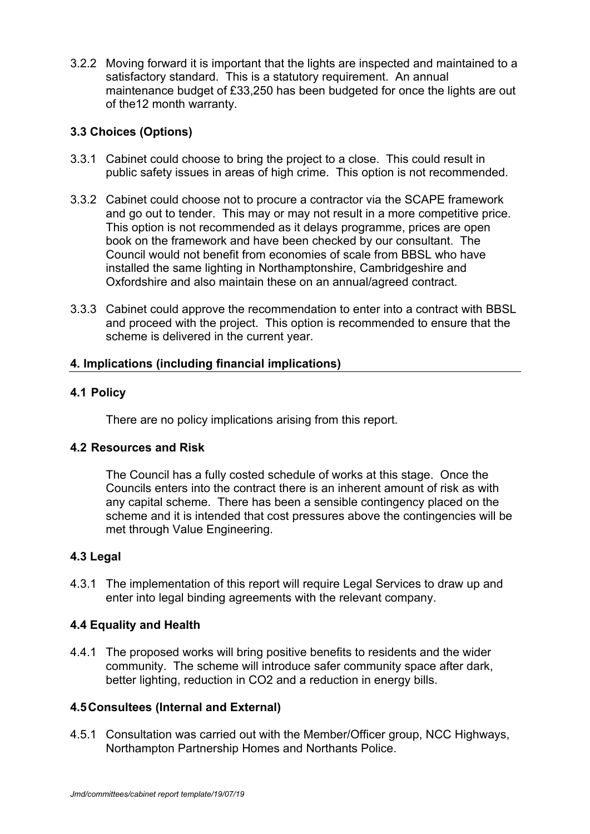3.2.2 Moving forward it is important that the lights are inspected and maintained to a satisfactory standard. This is a statutory requirement. An annual maintenance budget of £33,250 has been budgeted for once the lights are out of the12 month warranty.

# **3.3 Choices (Options)**

- 3.3.1 Cabinet could choose to bring the project to a close. This could result in public safety issues in areas of high crime. This option is not recommended.
- 3.3.2 Cabinet could choose not to procure a contractor via the SCAPE framework and go out to tender. This may or may not result in a more competitive price. This option is not recommended as it delays programme, prices are open book on the framework and have been checked by our consultant. The Council would not benefit from economies of scale from BBSL who have installed the same lighting in Northamptonshire, Cambridgeshire and Oxfordshire and also maintain these on an annual/agreed contract.
- 3.3.3 Cabinet could approve the recommendation to enter into a contract with BBSL and proceed with the project. This option is recommended to ensure that the scheme is delivered in the current year.

### **4. Implications (including financial implications)**

# **4.1 Policy**

There are no policy implications arising from this report.

# **4.2 Resources and Risk**

The Council has a fully costed schedule of works at this stage. Once the Councils enters into the contract there is an inherent amount of risk as with any capital scheme. There has been a sensible contingency placed on the scheme and it is intended that cost pressures above the contingencies will be met through Value Engineering.

# **4.3 Legal**

4.3.1 The implementation of this report will require Legal Services to draw up and enter into legal binding agreements with the relevant company.

# **4.4 Equality and Health**

4.4.1 The proposed works will bring positive benefits to residents and the wider community. The scheme will introduce safer community space after dark, better lighting, reduction in CO2 and a reduction in energy bills.

# **4.5Consultees (Internal and External)**

4.5.1 Consultation was carried out with the Member/Officer group, NCC Highways, Northampton Partnership Homes and Northants Police.